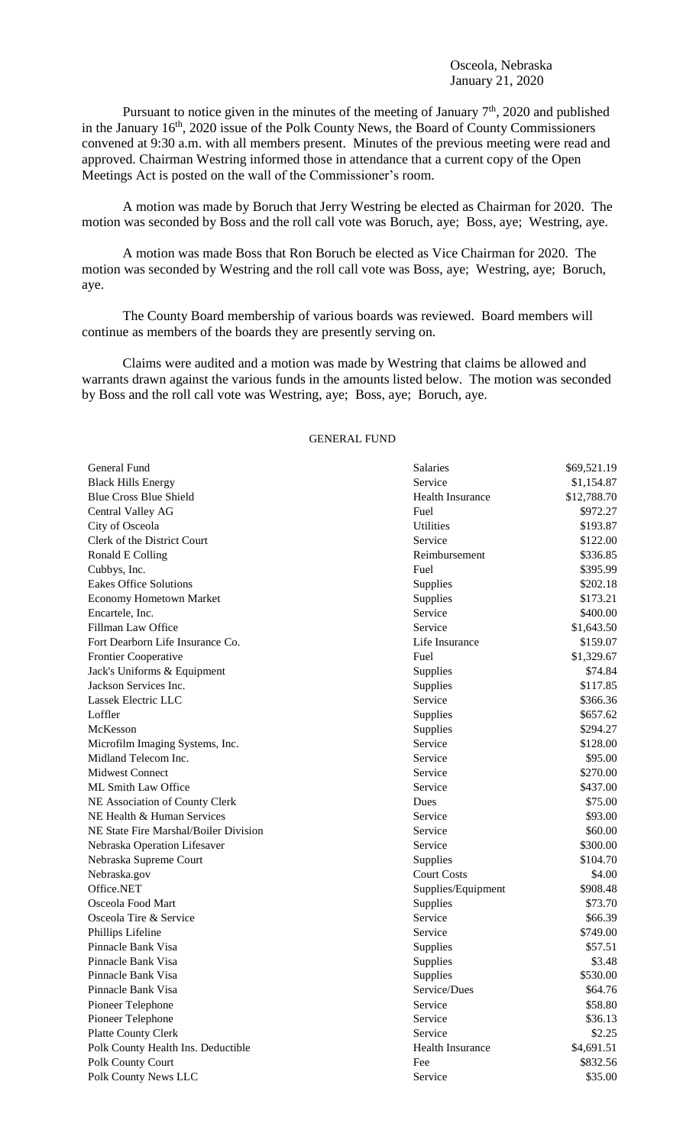Pursuant to notice given in the minutes of the meeting of January  $7<sup>th</sup>$ , 2020 and published in the January 16<sup>th</sup>, 2020 issue of the Polk County News, the Board of County Commissioners convened at 9:30 a.m. with all members present. Minutes of the previous meeting were read and approved. Chairman Westring informed those in attendance that a current copy of the Open Meetings Act is posted on the wall of the Commissioner's room.

A motion was made by Boruch that Jerry Westring be elected as Chairman for 2020. The motion was seconded by Boss and the roll call vote was Boruch, aye; Boss, aye; Westring, aye.

A motion was made Boss that Ron Boruch be elected as Vice Chairman for 2020. The motion was seconded by Westring and the roll call vote was Boss, aye; Westring, aye; Boruch, aye.

The County Board membership of various boards was reviewed. Board members will continue as members of the boards they are presently serving on.

Claims were audited and a motion was made by Westring that claims be allowed and warrants drawn against the various funds in the amounts listed below. The motion was seconded by Boss and the roll call vote was Westring, aye; Boss, aye; Boruch, aye.

## GENERAL FUND

| General Fund                          | Salaries                | \$69,521.19 |
|---------------------------------------|-------------------------|-------------|
| <b>Black Hills Energy</b>             | Service                 | \$1,154.87  |
| <b>Blue Cross Blue Shield</b>         | Health Insurance        | \$12,788.70 |
| Central Valley AG                     | Fuel                    | \$972.27    |
| City of Osceola                       | <b>Utilities</b>        | \$193.87    |
| Clerk of the District Court           | Service                 | \$122.00    |
| Ronald E Colling                      | Reimbursement           | \$336.85    |
| Cubbys, Inc.                          | Fuel                    | \$395.99    |
| <b>Eakes Office Solutions</b>         | Supplies                | \$202.18    |
| <b>Economy Hometown Market</b>        | Supplies                | \$173.21    |
| Encartele, Inc.                       | Service                 | \$400.00    |
| Fillman Law Office                    | Service                 | \$1,643.50  |
| Fort Dearborn Life Insurance Co.      | Life Insurance          | \$159.07    |
| Frontier Cooperative                  | Fuel                    | \$1,329.67  |
| Jack's Uniforms & Equipment           | Supplies                | \$74.84     |
| Jackson Services Inc.                 | Supplies                | \$117.85    |
| Lassek Electric LLC                   | Service                 | \$366.36    |
| Loffler                               | Supplies                | \$657.62    |
| McKesson                              | Supplies                | \$294.27    |
| Microfilm Imaging Systems, Inc.       | Service                 | \$128.00    |
| Midland Telecom Inc.                  | Service                 | \$95.00     |
| <b>Midwest Connect</b>                | Service                 | \$270.00    |
| ML Smith Law Office                   | Service                 | \$437.00    |
| NE Association of County Clerk        | Dues                    | \$75.00     |
| NE Health & Human Services            | Service                 | \$93.00     |
| NE State Fire Marshal/Boiler Division | Service                 | \$60.00     |
| Nebraska Operation Lifesaver          | Service                 | \$300.00    |
| Nebraska Supreme Court                | Supplies                | \$104.70    |
| Nebraska.gov                          | <b>Court Costs</b>      | \$4.00      |
| Office.NET                            | Supplies/Equipment      | \$908.48    |
| Osceola Food Mart                     | Supplies                | \$73.70     |
| Osceola Tire & Service                | Service                 | \$66.39     |
| Phillips Lifeline                     | Service                 | \$749.00    |
| Pinnacle Bank Visa                    | Supplies                | \$57.51     |
| Pinnacle Bank Visa                    | Supplies                | \$3.48      |
| Pinnacle Bank Visa                    | Supplies                | \$530.00    |
| Pinnacle Bank Visa                    | Service/Dues            | \$64.76     |
| Pioneer Telephone                     | Service                 | \$58.80     |
| Pioneer Telephone                     | Service                 | \$36.13     |
| Platte County Clerk                   | Service                 | \$2.25      |
| Polk County Health Ins. Deductible    | <b>Health Insurance</b> | \$4,691.51  |
| Polk County Court                     | Fee                     | \$832.56    |
| Polk County News LLC                  | Service                 | \$35.00     |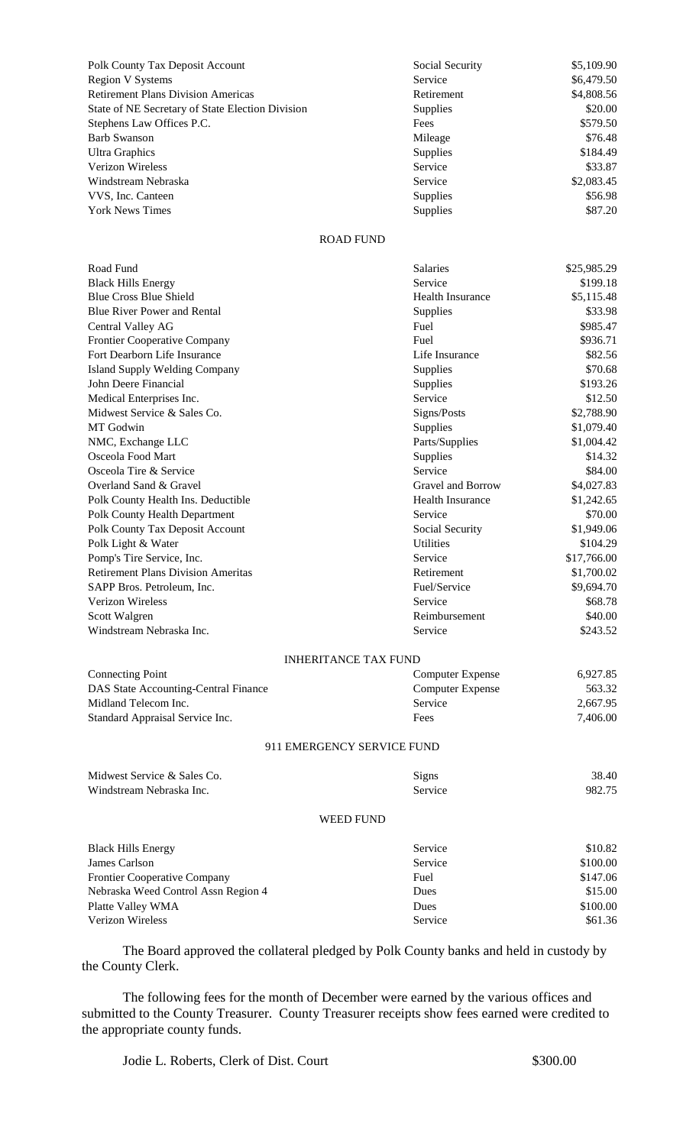| <b>Polk County Tax Deposit Account</b>           | Social Security | \$5,109.90                 |
|--------------------------------------------------|-----------------|----------------------------|
| <b>Region V Systems</b>                          | Service         | \$6,479.50                 |
| <b>Retirement Plans Division Americas</b>        | Retirement      | \$4,808.56                 |
| State of NE Secretary of State Election Division | <b>Supplies</b> | \$20.00                    |
| Stephens Law Offices P.C.                        | Fees            | \$579.50                   |
| Barb Swanson                                     | Mileage         | \$76.48                    |
| <b>Ultra Graphics</b>                            | <b>Supplies</b> | \$184.49                   |
| Verizon Wireless                                 | Service         | \$33.87                    |
| Windstream Nebraska                              | Service         | \$2,083.45                 |
| VVS, Inc. Canteen                                | <b>Supplies</b> | \$56.98                    |
| 171 171 m                                        |                 | $\wedge$ $\wedge$ $\wedge$ |

| Polk County Tax Deposit Account                  | Social Security | \$5,109.90 |
|--------------------------------------------------|-----------------|------------|
| <b>Region V Systems</b>                          | Service         | \$6,479.50 |
| <b>Retirement Plans Division Americas</b>        | Retirement      | \$4,808.56 |
| State of NE Secretary of State Election Division | <b>Supplies</b> | \$20.00    |
| Stephens Law Offices P.C.                        | Fees            | \$579.50   |
| Barb Swanson                                     | Mileage         | \$76.48    |
| Ultra Graphics                                   | Supplies        | \$184.49   |
| Verizon Wireless                                 | Service         | \$33.87    |
| Windstream Nebraska                              | Service         | \$2,083.45 |
| VVS, Inc. Canteen                                | <b>Supplies</b> | \$56.98    |
| <b>York News Times</b>                           | <b>Supplies</b> | \$87.20    |

## ROAD FUND

| Road Fund                                 | Salaries                | \$25,985.29 |
|-------------------------------------------|-------------------------|-------------|
| <b>Black Hills Energy</b>                 | Service                 | \$199.18    |
| <b>Blue Cross Blue Shield</b>             | <b>Health Insurance</b> | \$5,115.48  |
| <b>Blue River Power and Rental</b>        | Supplies                | \$33.98     |
| Central Valley AG                         | Fuel                    | \$985.47    |
| Frontier Cooperative Company              | Fuel                    | \$936.71    |
| Fort Dearborn Life Insurance              | Life Insurance          | \$82.56     |
| <b>Island Supply Welding Company</b>      | Supplies                | \$70.68     |
| John Deere Financial                      | Supplies                | \$193.26    |
| Medical Enterprises Inc.                  | Service                 | \$12.50     |
| Midwest Service & Sales Co.               | Signs/Posts             | \$2,788.90  |
| MT Godwin                                 | Supplies                | \$1,079.40  |
| NMC, Exchange LLC                         | Parts/Supplies          | \$1,004.42  |
| Osceola Food Mart                         | Supplies                | \$14.32     |
| Osceola Tire & Service                    | Service                 | \$84.00     |
| Overland Sand & Gravel                    | Gravel and Borrow       | \$4,027.83  |
| Polk County Health Ins. Deductible        | <b>Health Insurance</b> | \$1,242.65  |
| Polk County Health Department             | Service                 | \$70.00     |
| Polk County Tax Deposit Account           | Social Security         | \$1,949.06  |
| Polk Light & Water                        | <b>Utilities</b>        | \$104.29    |
| Pomp's Tire Service, Inc.                 | Service                 | \$17,766.00 |
| <b>Retirement Plans Division Ameritas</b> | Retirement              | \$1,700.02  |
| SAPP Bros. Petroleum, Inc.                | Fuel/Service            | \$9,694.70  |
| <b>Verizon Wireless</b>                   | Service                 | \$68.78     |
| Scott Walgren                             | Reimbursement           | \$40.00     |
| Windstream Nebraska Inc.                  | Service                 | \$243.52    |
| <b>INHERITANCE TAX FUND</b>               |                         |             |
| <b>Connecting Point</b>                   | <b>Computer Expense</b> | 6,927.85    |
| DAS State Accounting-Central Finance      | <b>Computer Expense</b> | 563.32      |
| Midland Telecom Inc.                      | Service                 | 2,667.95    |
| Standard Appraisal Service Inc.           | Fees                    | 7,406.00    |
| 911 EMERGENCY SERVICE FUND                |                         |             |
| Midwest Service & Sales Co.               | Signs                   | 38.40       |
| Windstream Nebraska Inc.                  | Service                 | 982.75      |
|                                           |                         |             |
| <b>WEED FUND</b>                          |                         |             |
| <b>Black Hills Energy</b>                 | Service                 | \$10.82     |
| James Carlson                             | Service                 | \$100.00    |
| <b>Frontier Cooperative Company</b>       | Fuel                    | \$147.06    |
| Nebraska Weed Control Assn Region 4       | Dues                    | \$15.00     |
| Platte Valley WMA                         | Dues                    | \$100.00    |

The Board approved the collateral pledged by Polk County banks and held in custody by the County Clerk.

Verizon Wireless Service Service Service S61.36

The following fees for the month of December were earned by the various offices and submitted to the County Treasurer. County Treasurer receipts show fees earned were credited to the appropriate county funds.